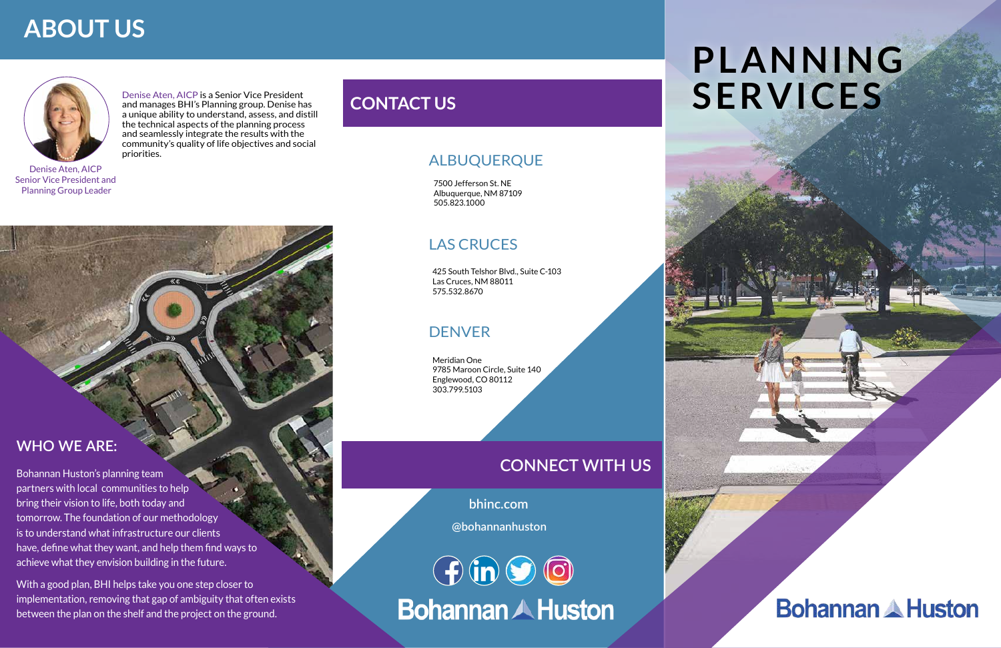Denise Aten, AICP is a Senior Vice President and manages BHI's Planning group. Denise has a unique ability to understand, assess, and distill the technical aspects of the planning process and seamlessly integrate the results with the community's quality of life objectives and social priorities.

 **bhinc.com**

## **WHO WE ARE:**

Bohannan Huston's planning team partners with local communities to help bring their vision to life, both today and tomorrow. The foundation of our methodology is to understand what infrastructure our clients have, define what they want, and help them find ways to achieve what they envision building in the future.

With a good plan, BHI helps take you one step closer to implementation, removing that gap of ambiguity that often exists between the plan on the shelf and the project on the ground.

# **PLANNING SERVICES**



#### ALBUQUERQUE

#### DENVER

#### LAS CRUCES

7500 Jefferson St. NE Albuquerque, NM 87109 505.823.1000

425 South Telshor Blvd., Suite C-103 Las Cruces, NM 88011 575.532.8670

Meridian One 9785 Maroon Circle, Suite 140 Englewood, CO 80112 303.799.5103

## **CONNECT WITH US**

**@bohannanhuston**

 $\bigoplus$  in  $\bigodot$  io **Bohannan A Huston** 

# **ABOUT US**



## **CONTACT US**

Denise Aten, AICP Senior Vice President and Planning Group Leader